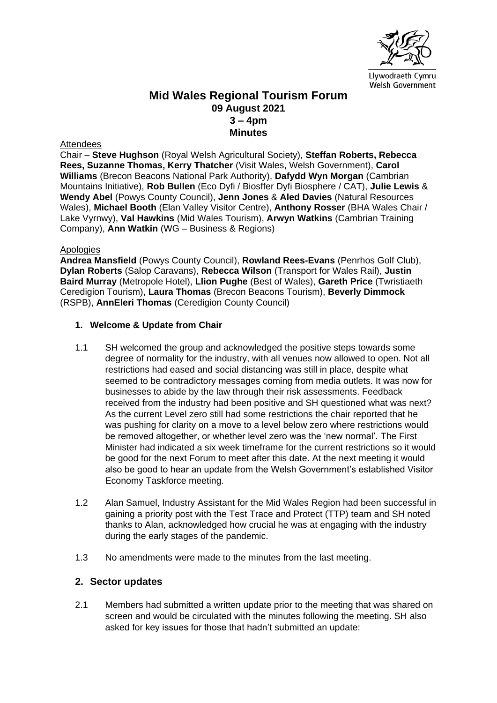

## **Mid Wales Regional Tourism Forum 09 August 2021 3 – 4pm Minutes**

#### **Attendees**

Chair – **Steve Hughson** (Royal Welsh Agricultural Society), **Steffan Roberts, Rebecca Rees, Suzanne Thomas, Kerry Thatcher** (Visit Wales, Welsh Government), **Carol Williams** (Brecon Beacons National Park Authority), **Dafydd Wyn Morgan** (Cambrian Mountains Initiative), **Rob Bullen** (Eco Dyfi / Biosffer Dyfi Biosphere / CAT), **Julie Lewis** & **Wendy Abel** (Powys County Council), **Jenn Jones** & **Aled Davies** (Natural Resources Wales), **Michael Booth** (Elan Valley Visitor Centre), **Anthony Rosser** (BHA Wales Chair / Lake Vyrnwy), **Val Hawkins** (Mid Wales Tourism), **Arwyn Watkins** (Cambrian Training Company), **Ann Watkin** (WG – Business & Regions)

#### Apologies

**Andrea Mansfield** (Powys County Council), **Rowland Rees-Evans** (Penrhos Golf Club), **Dylan Roberts** (Salop Caravans), **Rebecca Wilson** (Transport for Wales Rail), **Justin Baird Murray** (Metropole Hotel), **Llion Pughe** (Best of Wales), **Gareth Price** (Twristiaeth Ceredigion Tourism), **Laura Thomas** (Brecon Beacons Tourism), **Beverly Dimmock** (RSPB), **AnnEleri Thomas** (Ceredigion County Council)

### **1. Welcome & Update from Chair**

- 1.1 SH welcomed the group and acknowledged the positive steps towards some degree of normality for the industry, with all venues now allowed to open. Not all restrictions had eased and social distancing was still in place, despite what seemed to be contradictory messages coming from media outlets. It was now for businesses to abide by the law through their risk assessments. Feedback received from the industry had been positive and SH questioned what was next? As the current Level zero still had some restrictions the chair reported that he was pushing for clarity on a move to a level below zero where restrictions would be removed altogether, or whether level zero was the 'new normal'. The First Minister had indicated a six week timeframe for the current restrictions so it would be good for the next Forum to meet after this date. At the next meeting it would also be good to hear an update from the Welsh Government's established Visitor Economy Taskforce meeting.
- 1.2 Alan Samuel, Industry Assistant for the Mid Wales Region had been successful in gaining a priority post with the Test Trace and Protect (TTP) team and SH noted thanks to Alan, acknowledged how crucial he was at engaging with the industry during the early stages of the pandemic.
- 1.3 No amendments were made to the minutes from the last meeting.

### **2. Sector updates**

2.1 Members had submitted a written update prior to the meeting that was shared on screen and would be circulated with the minutes following the meeting. SH also asked for key issues for those that hadn't submitted an update: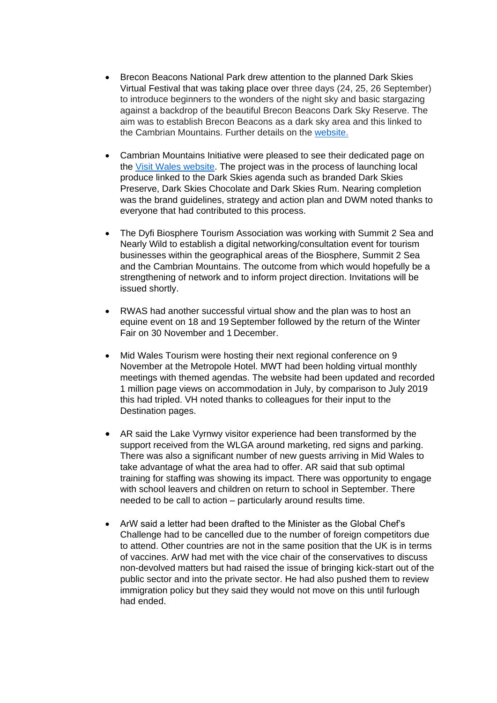- Brecon Beacons National Park drew attention to the planned Dark Skies Virtual Festival that was taking place over three days (24, 25, 26 September) to introduce beginners to the wonders of the night sky and basic stargazing against a backdrop of the beautiful Brecon Beacons Dark Sky Reserve. The aim was to establish Brecon Beacons as a dark sky area and this linked to the Cambrian Mountains. Further details on the [website.](https://www.breconbeacons.org/things-to-do/activities/stargazing)
- Cambrian Mountains Initiative were pleased to see their dedicated page on the [Visit Wales website.](https://bit.ly/VisitWalesCambrianMountains) The project was in the process of launching local produce linked to the Dark Skies agenda such as branded Dark Skies Preserve, Dark Skies Chocolate and Dark Skies Rum. Nearing completion was the brand guidelines, strategy and action plan and DWM noted thanks to everyone that had contributed to this process.
- The Dyfi Biosphere Tourism Association was working with Summit 2 Sea and Nearly Wild to establish a digital networking/consultation event for tourism businesses within the geographical areas of the Biosphere, Summit 2 Sea and the Cambrian Mountains. The outcome from which would hopefully be a strengthening of network and to inform project direction. Invitations will be issued shortly.
- RWAS had another successful virtual show and the plan was to host an equine event on 18 and 19 September followed by the return of the Winter Fair on 30 November and 1 December.
- Mid Wales Tourism were hosting their next regional conference on 9 November at the Metropole Hotel. MWT had been holding virtual monthly meetings with themed agendas. The website had been updated and recorded 1 million page views on accommodation in July, by comparison to July 2019 this had tripled. VH noted thanks to colleagues for their input to the Destination pages.
- AR said the Lake Vyrnwy visitor experience had been transformed by the support received from the WLGA around marketing, red signs and parking. There was also a significant number of new guests arriving in Mid Wales to take advantage of what the area had to offer. AR said that sub optimal training for staffing was showing its impact. There was opportunity to engage with school leavers and children on return to school in September. There needed to be call to action – particularly around results time.
- ArW said a letter had been drafted to the Minister as the Global Chef's Challenge had to be cancelled due to the number of foreign competitors due to attend. Other countries are not in the same position that the UK is in terms of vaccines. ArW had met with the vice chair of the conservatives to discuss non-devolved matters but had raised the issue of bringing kick-start out of the public sector and into the private sector. He had also pushed them to review immigration policy but they said they would not move on this until furlough had ended.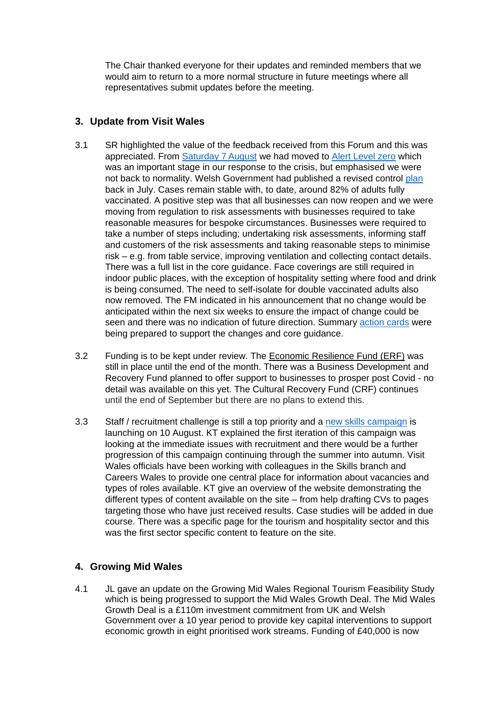The Chair thanked everyone for their updates and reminded members that we would aim to return to a more normal structure in future meetings where all representatives submit updates before the meeting.

# **3. Update from Visit Wales**

- 3.1 SR highlighted the value of the feedback received from this Forum and this was appreciated. From [Saturday 7](https://gov.wales/written-statement-review-health-protection-coronavirus-restriction-no5-wales-regulations-2020-10) August we had moved to [Alert Level zero](https://gov.wales/alert-level-0) which was an important stage in our response to the crisis, but emphasised we were not back to normality. Welsh Government had published a revised control [plan](https://gov.wales/coronavirus-control-plan-alert-level-0-zero) back in July. Cases remain stable with, to date, around 82% of adults fully vaccinated. A positive step was that all businesses can now reopen and we were moving from regulation to risk assessments with businesses required to take reasonable measures for bespoke circumstances. Businesses were required to take a number of steps including; undertaking risk assessments, informing staff and customers of the risk assessments and taking reasonable steps to minimise risk – e.g. from table service, improving ventilation and collecting contact details. There was a full list in the core guidance. Face coverings are still required in indoor public places, with the exception of hospitality setting where food and drink is being consumed. The need to self-isolate for double vaccinated adults also now removed. The FM indicated in his announcement that no change would be anticipated within the next six weeks to ensure the impact of change could be seen and there was no indication of future direction. Summary [action cards](https://gov.wales/reasonable-measures-action-cards-businesses-and-organisations-coronavirus) were being prepared to support the changes and core guidance.
- 3.2 Funding is to be kept under review. The [Economic Resilience Fund](https://businesswales.gov.wales/coronavirus-advice/support/financial-support-and-grants) (ERF) was still in place until the end of the month. There was a Business Development and Recovery Fund planned to offer support to businesses to prosper post Covid - no detail was available on this yet. The Cultural Recovery Fund (CRF) continues until the end of September but there are no plans to extend this.
- 3.3 Staff / recruitment challenge is still a top priority and a [new skills campaign](https://workingwales.gov.wales/change-your-story/work-in-hospitality-and-tourism) is launching on 10 August. KT explained the first iteration of this campaign was looking at the immediate issues with recruitment and there would be a further progression of this campaign continuing through the summer into autumn. Visit Wales officials have been working with colleagues in the Skills branch and Careers Wales to provide one central place for information about vacancies and types of roles available. KT give an overview of the website demonstrating the different types of content available on the site – from help drafting CVs to pages targeting those who have just received results. Case studies will be added in due course. There was a specific page for the tourism and hospitality sector and this was the first sector specific content to feature on the site.

### **4. Growing Mid Wales**

4.1 JL gave an update on the Growing Mid Wales Regional Tourism Feasibility Study which is being progressed to support the Mid Wales Growth Deal. The Mid Wales Growth Deal is a £110m investment commitment from UK and Welsh Government over a 10 year period to provide key capital interventions to support economic growth in eight prioritised work streams. Funding of £40,000 is now